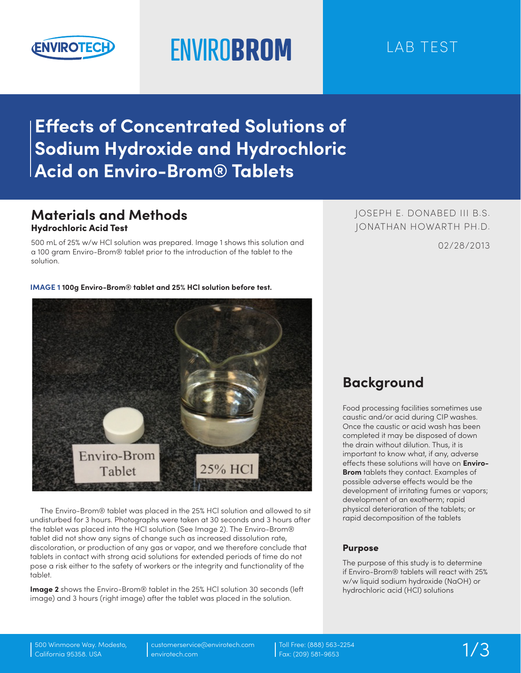

# ENVIRO**BROM** LAB TEST

# **Effects of Concentrated Solutions of Sodium Hydroxide and Hydrochloric Acid on Enviro-Brom® Tablets**

## **Materials and Methods** Hydrochloric Acid Test

500 mL of 25% w/w HCl solution was prepared. Image 1 shows this solution and a 100 gram Enviro-Brom® tablet prior to the introduction of the tablet to the solution.

02/28/2013 JOSEPH E. DONABED III B.S. JONATHAN HOWARTH PH.D.

#### **IMAGE 1 100g Enviro-Brom® tablet and 25% HCl solution before test.**



The Enviro-Brom® tablet was placed in the 25% HCl solution and allowed to sit undisturbed for 3 hours. Photographs were taken at 30 seconds and 3 hours after the tablet was placed into the HCl solution (See Image 2). The Enviro-Brom® tablet did not show any signs of change such as increased dissolution rate, discoloration, or production of any gas or vapor, and we therefore conclude that tablets in contact with strong acid solutions for extended periods of time do not pose a risk either to the safety of workers or the integrity and functionality of the tablet.

**Image 2** shows the Enviro-Brom® tablet in the 25% HCl solution 30 seconds (left image) and 3 hours (right image) after the tablet was placed in the solution.

# **Background**

Food processing facilities sometimes use caustic and/or acid during CIP washes. Once the caustic or acid wash has been completed it may be disposed of down the drain without dilution. Thus, it is important to know what, if any, adverse effects these solutions will have on **Enviro-Brom** tablets they contact. Examples of possible adverse effects would be the development of irritating fumes or vapors; development of an exotherm; rapid physical deterioration of the tablets; or rapid decomposition of the tablets

#### Purpose

The purpose of this study is to determine if Enviro-Brom® tablets will react with 25% w/w liquid sodium hydroxide (NaOH) or hydrochloric acid (HCl) solutions

customerservice@envirotech.com envirotech.com

Toll Free: (888) 563-2254 Fax: (209) 581-9653 1/3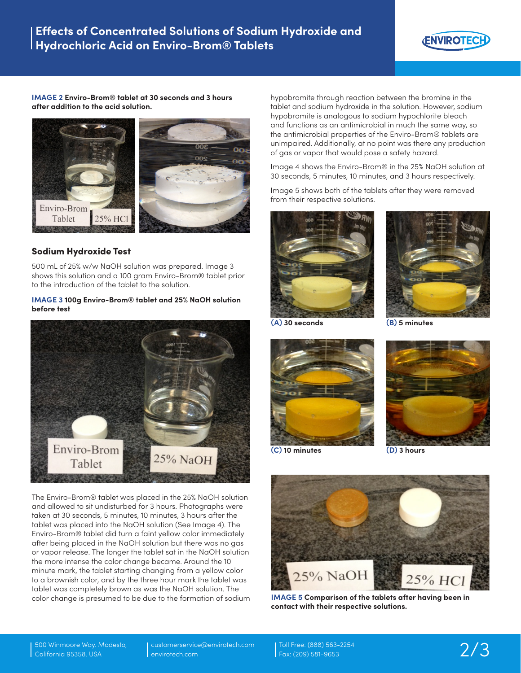

**IMAGE 2 Enviro-Brom® tablet at 30 seconds and 3 hours after addition to the acid solution.**



### Sodium Hydroxide Test

500 mL of 25% w/w NaOH solution was prepared. Image 3 shows this solution and a 100 gram Enviro-Brom® tablet prior to the introduction of the tablet to the solution.

#### **IMAGE 3 100g Enviro-Brom® tablet and 25% NaOH solution before test**



The Enviro-Brom® tablet was placed in the 25% NaOH solution and allowed to sit undisturbed for 3 hours. Photographs were taken at 30 seconds, 5 minutes, 10 minutes, 3 hours after the tablet was placed into the NaOH solution (See Image 4). The Enviro-Brom® tablet did turn a faint yellow color immediately after being placed in the NaOH solution but there was no gas or vapor release. The longer the tablet sat in the NaOH solution the more intense the color change became. Around the 10 minute mark, the tablet starting changing from a yellow color to a brownish color, and by the three hour mark the tablet was tablet was completely brown as was the NaOH solution. The color change is presumed to be due to the formation of sodium hypobromite through reaction between the bromine in the tablet and sodium hydroxide in the solution. However, sodium hypobromite is analogous to sodium hypochlorite bleach and functions as an antimicrobial in much the same way, so the antimicrobial properties of the Enviro-Brom® tablets are unimpaired. Additionally, at no point was there any production of gas or vapor that would pose a safety hazard.

Image 4 shows the Enviro-Brom® in the 25% NaOH solution at 30 seconds, 5 minutes, 10 minutes, and 3 hours respectively.

Image 5 shows both of the tablets after they were removed from their respective solutions.





**(A) 30 seconds**

**(B) 5 minutes**







**(D) 3 hours**



**IMAGE 5 Comparison of the tablets after having been in contact with their respective solutions.**

Toll Free: (888) 563-2254 Fax: (209) 581-9653 2/3